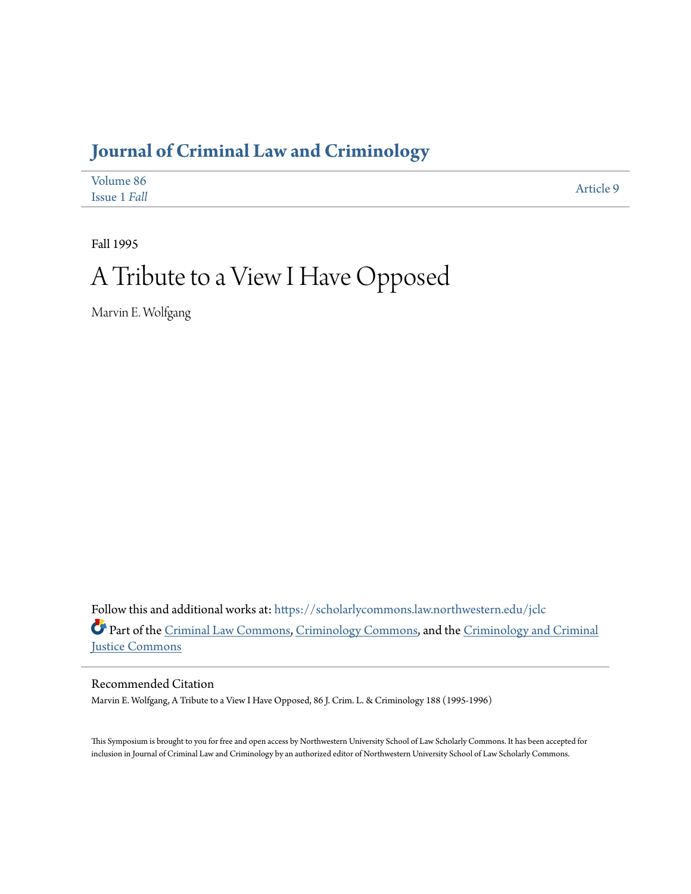## **[Journal of Criminal Law and Criminology](https://scholarlycommons.law.northwestern.edu/jclc?utm_source=scholarlycommons.law.northwestern.edu%2Fjclc%2Fvol86%2Fiss1%2F9&utm_medium=PDF&utm_campaign=PDFCoverPages)**

| Volume 86    | Article 9 |
|--------------|-----------|
| Issue 1 Fall |           |

Fall 1995

## A Tribute to a View I Have Opposed

Marvin E. Wolfgang

Follow this and additional works at: [https://scholarlycommons.law.northwestern.edu/jclc](https://scholarlycommons.law.northwestern.edu/jclc?utm_source=scholarlycommons.law.northwestern.edu%2Fjclc%2Fvol86%2Fiss1%2F9&utm_medium=PDF&utm_campaign=PDFCoverPages) Part of the [Criminal Law Commons](http://network.bepress.com/hgg/discipline/912?utm_source=scholarlycommons.law.northwestern.edu%2Fjclc%2Fvol86%2Fiss1%2F9&utm_medium=PDF&utm_campaign=PDFCoverPages), [Criminology Commons](http://network.bepress.com/hgg/discipline/417?utm_source=scholarlycommons.law.northwestern.edu%2Fjclc%2Fvol86%2Fiss1%2F9&utm_medium=PDF&utm_campaign=PDFCoverPages), and the [Criminology and Criminal](http://network.bepress.com/hgg/discipline/367?utm_source=scholarlycommons.law.northwestern.edu%2Fjclc%2Fvol86%2Fiss1%2F9&utm_medium=PDF&utm_campaign=PDFCoverPages) [Justice Commons](http://network.bepress.com/hgg/discipline/367?utm_source=scholarlycommons.law.northwestern.edu%2Fjclc%2Fvol86%2Fiss1%2F9&utm_medium=PDF&utm_campaign=PDFCoverPages)

Recommended Citation

Marvin E. Wolfgang, A Tribute to a View I Have Opposed, 86 J. Crim. L. & Criminology 188 (1995-1996)

This Symposium is brought to you for free and open access by Northwestern University School of Law Scholarly Commons. It has been accepted for inclusion in Journal of Criminal Law and Criminology by an authorized editor of Northwestern University School of Law Scholarly Commons.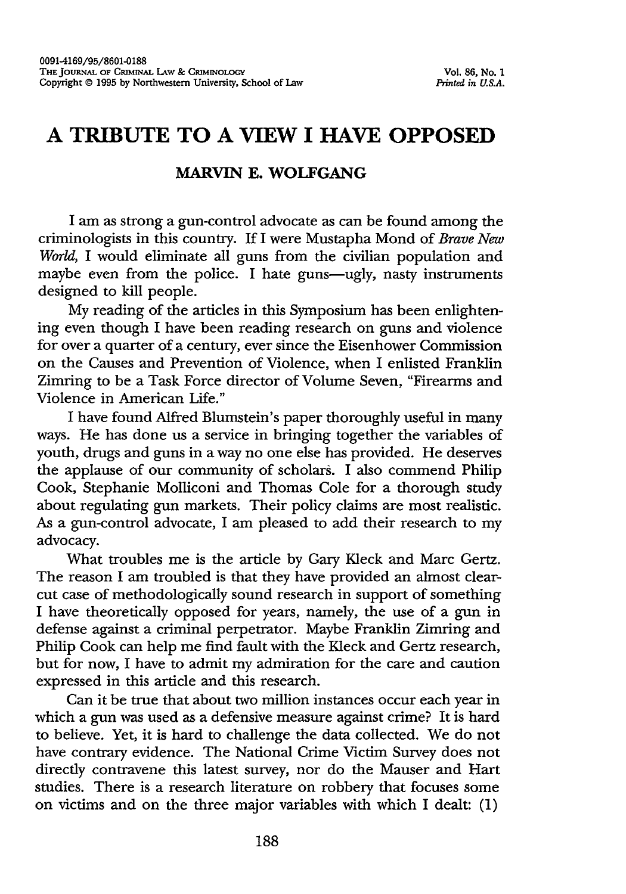## **A TRIBUTE TO A VIEW I HAVE OPPOSED**

## **MARVIN E. WOLFGANG**

I am as strong a gun-control advocate as can be found among the criminologists in this country. If I were Mustapha Mond of *Brave New World,* I would eliminate all guns from the civilian population and maybe even from the police. I hate guns-ugly, nasty instruments designed to kill people.

My reading of the articles in this Symposium has been enlightening even though I have been reading research on guns and violence for over a quarter of a century, ever since the Eisenhower Commission on the Causes and Prevention of Violence, when I enlisted Franklin Zimring to be a Task Force director of Volume Seven, "Firearms and Violence in American Life."

I have found Alfred Blumstein's paper thoroughly useful in many ways. He has done us a service in bringing together the variables of youth, drugs and guns in a way no one else has provided. He deserves the applause of our community of scholars. I also commend Philip Cook, Stephanie Molliconi and Thomas Cole for a thorough study about regulating gun markets. Their policy claims are most realistic. As a gun-control advocate, I am pleased to add their research to my advocacy.

What troubles me is the article by Gary Kleck and Marc Gertz. The reason I am troubled is that they have provided an almost clearcut case of methodologically sound research in support of something I have theoretically opposed for years, namely, the use of a gun in defense against a criminal perpetrator. Maybe Franklin Zimring and Philip Cook can help me find fault with the Kleck and Gertz research, but for now, I have to admit my admiration for the care and caution expressed in this article and this research.

Can it be true that about two million instances occur each year in which a gun was used as a defensive measure against crime? It is hard to believe. Yet, it is hard to challenge the data collected. We do not have contrary evidence. The National Crime Victim Survey does not directly contravene this latest survey, nor do the Mauser and Hart studies. There is a research literature on robbery that focuses some on victims and on the three major variables with which I dealt: (1)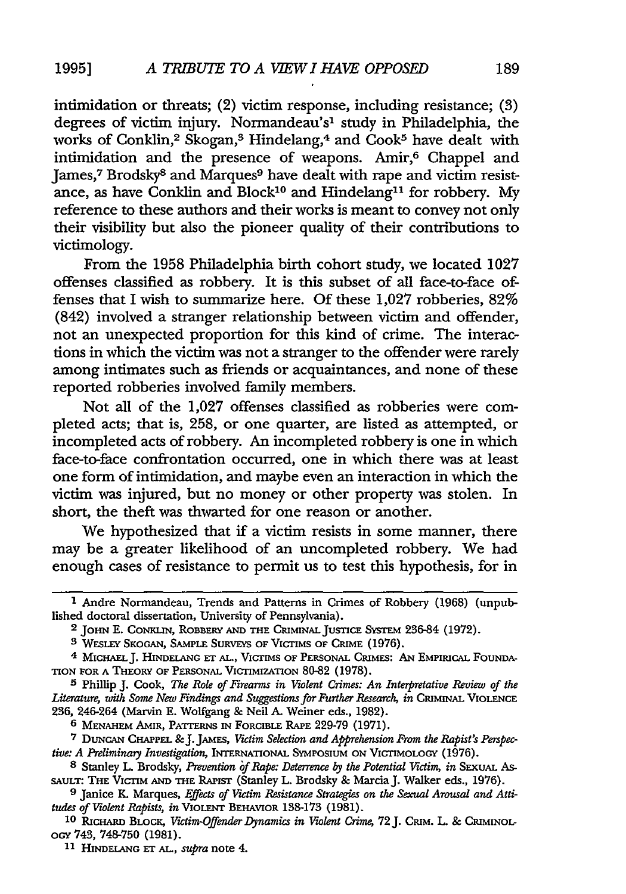intimidation or threats; (2) victim response, including resistance; (3) degrees of victim injury. Normandeau's' study in Philadelphia, the works of Conklin,<sup>2</sup> Skogan,<sup>3</sup> Hindelang,<sup>4</sup> and Cook<sup>5</sup> have dealt with intimidation and the presence of weapons. Amir,6 Chappel and James,<sup>7</sup> Brodsky<sup>8</sup> and Marques<sup>9</sup> have dealt with rape and victim resistance, as have Conklin and Block<sup>10</sup> and Hindelang<sup>11</sup> for robbery. My reference to these authors and their works is meant to convey not only their visibility but also the pioneer quality of their contributions to victimology.

From the 1958 Philadelphia birth cohort study, we located 1027 offenses classified as robbery. It is this subset of all face-to-face offenses that I wish to summarize here. Of these 1,027 robberies, 82% (842) involved a stranger relationship between victim and offender, not an unexpected proportion for this kind of crime. The interactions in which the victim was not a stranger to the offender were rarely among intimates such as friends or acquaintances, and none of these reported robberies involved family members.

Not all of the 1,027 offenses classified as robberies were completed acts; that is, 258, or one quarter, are listed as attempted, or incompleted acts of robbery. An incompleted robbery is one in which face-to-face confrontation occurred, one in which there was at least one form of intimidation, and maybe even an interaction in which the victim was injured, but no money or other property was stolen. In short, the theft was thwarted for one reason or another.

We hypothesized that if a victim resists in some manner, there may be a greater likelihood of an uncompleted robbery. We had enough cases of resistance to permit us to test this hypothesis, for in

**I** Andre Normandeau, Trends and Patterns in Crimes of Robbery (1968) (unpublished doctoral dissertation, University of Pennsylvania).

<sup>2</sup> **JOHN E.** CONKLIN, **ROBBERY AND THE CIMINALJUSTICE** SysrEm 236-84 (1972).

**<sup>3</sup>** WESLEY SKOGAN, SAMPLE SURVEYS **OF VIcTIMs OF** CRIME (1976).

**<sup>4</sup> MIcHAELJ. HINDELANG Er AL.,** VICTIMs **OF PERSONAL CRIMES: AN EMPIRICAL FOUNDA-TION FOR A** THEORY OF PERSONAL **VICTIMIZATION** 80-82 (1978).

**<sup>5</sup>**Phillip **J.** Cook, *The Role of Firearms in Violent Crimes: An Interpretative Review of the Literature, with Some New Findings and Suggestions for Further Research, in* **CRIMINAL** VIOLENCE 236, 246-264 (Marvin E. Wolfgang & Neil A. Weiner eds., 1982).

**<sup>6</sup>** MENAHEM AMIR, PATrERNs IN FORCIBLE RAPE 229-79 (1971).

*<sup>7</sup>* **DUNCAN** *CAPPEL* **&J.** JAMES, *Victim Selection and Apprehension From the Rapist's Perspective: A Preliminary Investigation, INTERNATIONAL SYMPOSIUM ON VICTIMOLOGY (1976).* 

**<sup>8</sup>** Stanley L. Brodsky, *Prevention bf Rape: Deterrence by the Potential Victim, in* SExuAL *As-*SAULT: THE VICTIM AND THE RAPIST (Stanley L. Brodsky & Marcia J. Walker eds., 1976).

**<sup>9</sup>** Janice K. Marques, *Effects of Victim Resistance Strategies on the Sexual Arousal and Attitudes of Violent Rapists,* in *VIoLENT* BEHAVIOR 138-173 (1981).

<sup>&</sup>lt;sup>10</sup> RICHARD BLOCK, *Victim-Offender Dynamics in Violent Crime*, <sup>72</sup> J. CRIM. L. & CRIMINOLoy 743, **748-750 (1981).**

**<sup>11</sup> HINDELANG ET AL.,** *supra* note 4.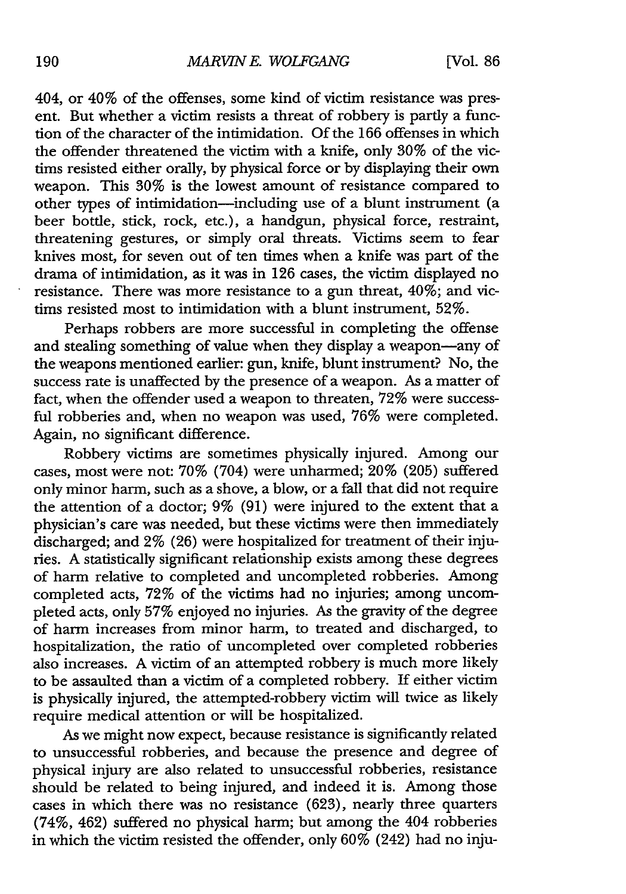404, or 40% of the offenses, some kind of victim resistance was present. But whether a victim resists a threat of robbery is partly a function of the character of the intimidation. Of the 166 offenses in which the offender threatened the victim with a knife, only 30% of the victims resisted either orally, by physical force or by displaying their own weapon. This 30% is the lowest amount of resistance compared to other types of intimidation-including use of a blunt instrument (a beer bottle, stick, rock, etc.), a handgun, physical force, restraint, threatening gestures, or simply oral threats. Victims seem to fear knives most, for seven out of ten times when a knife was part of the drama of intimidation, as it was in 126 cases, the victim displayed no resistance. There was more resistance to a gun threat, 40%; and victims resisted most to intimidation with a blunt instrument, 52%.

Perhaps robbers are more successful in completing the offense and stealing something of value when they display a weapon-any of the weapons mentioned earlier: gun, knife, blunt instrument? No, the success rate is unaffected by the presence of a weapon. As a matter of fact, when the offender used a weapon to threaten, 72% were successful robberies and, when no weapon was used, 76% were completed. Again, no significant difference.

Robbery victims are sometimes physically injured. Among our cases, most were not: 70% (704) were unharmed; 20% (205) suffered only minor harm, such as a shove, a blow, or a fall that did not require the attention of a doctor; 9% (91) were injured to the extent that a physician's care was needed, but these victims were then immediately discharged; and 2% (26) were hospitalized for treatment of their injuries. A statistically significant relationship exists among these degrees of harm relative to completed and uncompleted robberies. Among completed acts, 72% of the victims had no injuries; among uncompleted acts, only 57% enjoyed no injuries. As the gravity of the degree of harm increases from minor harm, to treated and discharged, to hospitalization, the ratio of uncompleted over completed robberies also increases. A victim of an attempted robbery is much more likely to be assaulted than a victim of a completed robbery. If either victim is physically injured, the attempted-robbery victim will twice as likely require medical attention or will be hospitalized.

As we might now expect, because resistance is significantly related to unsuccessful robberies, and because the presence and degree of physical injury are also related to unsuccessful robberies, resistance should be related to being injured, and indeed it is. Among those cases in which there was no resistance (623), nearly three quarters (74%, 462) suffered no physical harm; but among the 404 robberies in which the victim resisted the offender, only  $60\%$  (242) had no inju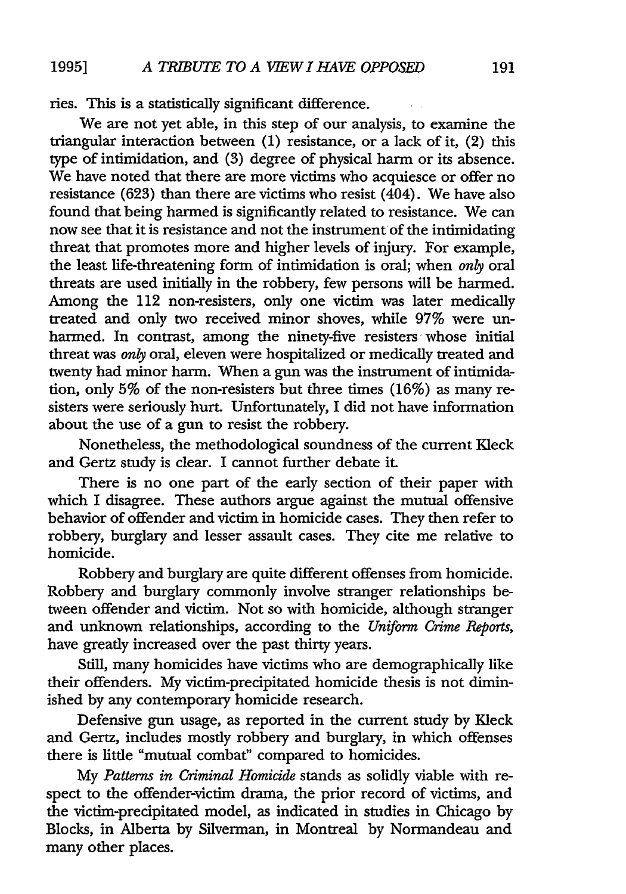ries. This is a statistically significant difference.

We are not yet able, in this step of our analysis, to examine the triangular interaction between (1) resistance, or a lack of it, (2) this type of intimidation, and (3) degree of physical harm or its absence. We have noted that there are more victims who acquiesce or offer no resistance (623) than there are victims who resist (404). We have also found that being harmed is significantly related to resistance. We can now see that it is resistance and not the instrument of the intimidating threat that promotes more and higher levels of injury. For example, the least life-threatening form of intimidation is oral; when *only* oral threats are used initially in the robbery, few persons will be harmed. Among the 112 non-resisters, only one victim was later medically treated and only two received minor shoves, while **97%** were unharmed. In contrast, among the ninety-five resisters whose initial threat was *only* oral, eleven were hospitalized or medically treated and twenty had minor harm. When a gun was the instrument of intimidation, only **5%** of the non-resisters but three times (16%) as many resisters were seriously hurt. Unfortunately, I did not have information about the use of a gun to resist the robbery.

Nonetheless, the methodological soundness of the current Kleck and Gertz study is clear. I cannot further debate it.

There is no one part of the early section of their paper with which I disagree. These authors argue against the mutual offensive behavior of offender and victim in homicide cases. They then refer to robbery, burglary and lesser assault cases. They cite me relative to homicide.

Robbery and burglary are quite different offenses from homicide. Robbery and burglary commonly involve stranger relationships between offender and victim. Not so with homicide, although stranger and unknown relationships, according to the *Uniform Crime Reports,* have greatly increased over the past thirty years.

Still, many homicides have victims who are demographically like their offenders. My victim-precipitated homicide thesis is not diminished by any contemporary homicide research.

Defensive gun usage, as reported in the current study by Kleck and Gertz, includes mostly robbery and burglary, in which offenses there is little "mutual combat" compared to homicides.

**My** *Patterns in Criminal Homicide* stands as solidly viable with respect to the offender-victim drama, the prior record of victims, and the victim-precipitated model, as indicated in studies in Chicago by Blocks, in Alberta by Silverman, in Montreal by Normandeau and many other places.